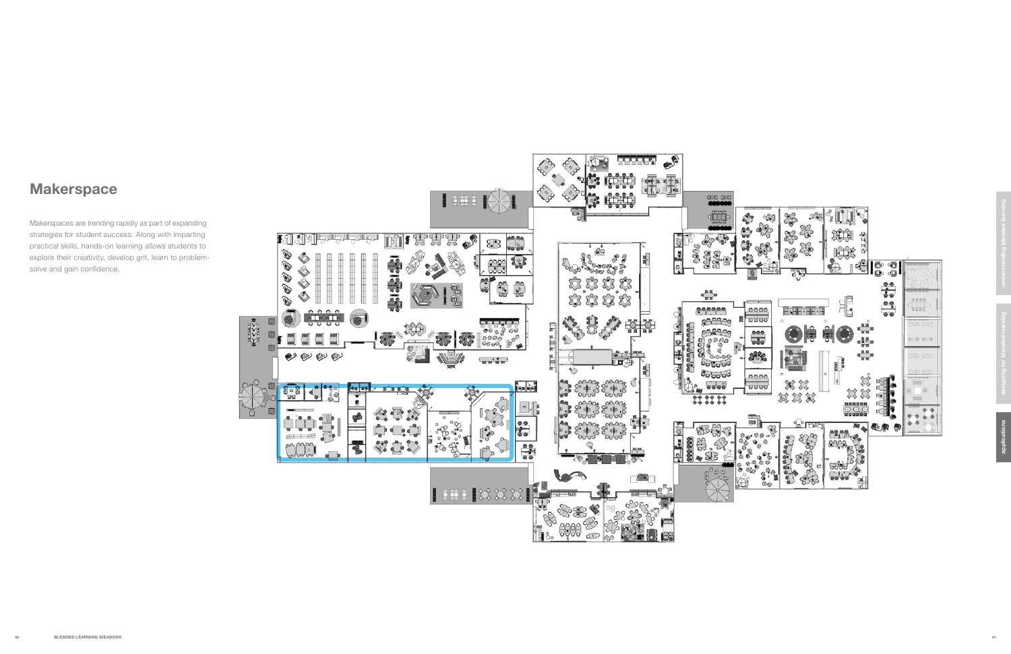## **Makerspace**

Makerspaces are trending rapidly as part of expanding strategies for student success. Along with imparting practical skills, hands-on learning allows students to explore their creativity, develop grit, learn to problemsolve and gain confidence.